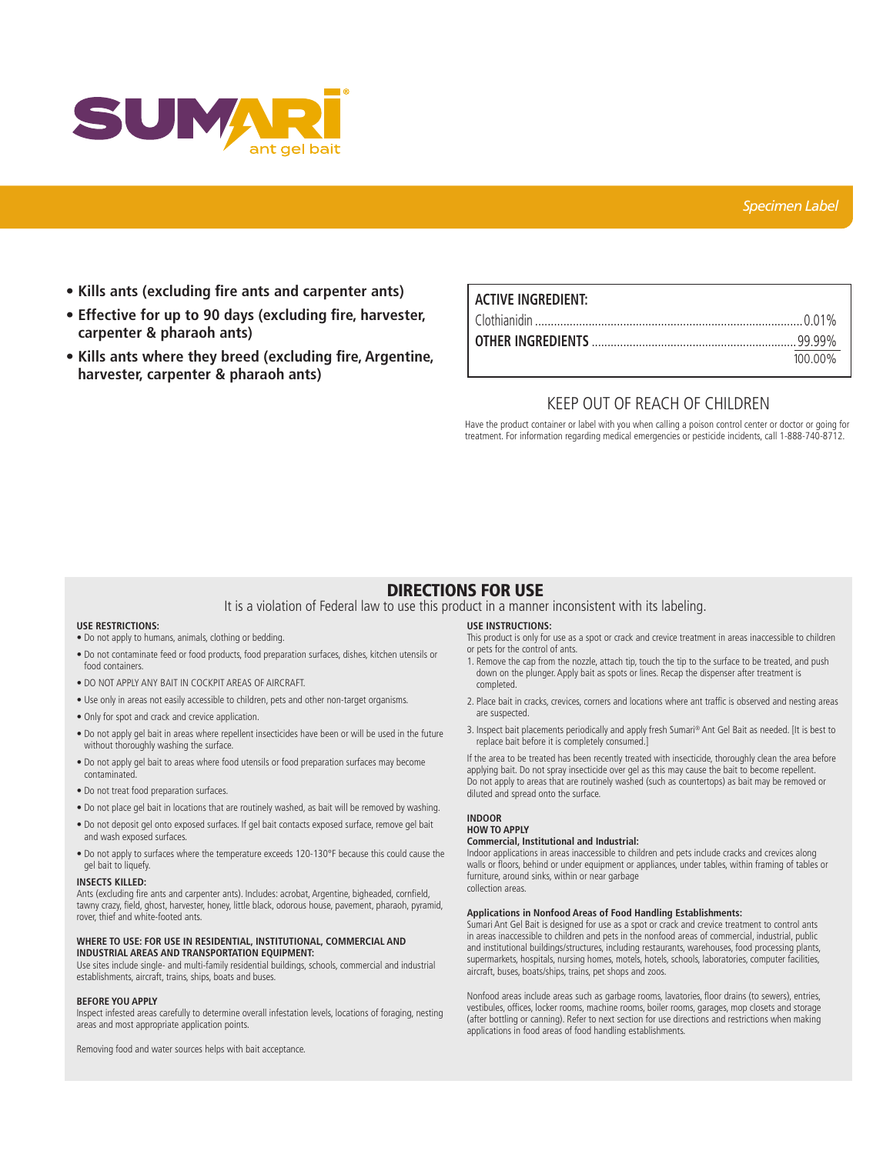

- **Kills ants (excluding fire ants and carpenter ants)**
- **Effective for up to 90 days (excluding fire, harvester, carpenter & pharaoh ants)**
- **Kills ants where they breed (excluding fire, Argentine, harvester, carpenter & pharaoh ants)**

# **ACTIVE INGREDIENT:** Clothianidin .....................................................................................0.01% **OTHER INGREDIENTS** .................................................................99.99% 100.00%

# KEEP OUT OF REACH OF CHILDREN

Have the product container or label with you when calling a poison control center or doctor or going for treatment. For information regarding medical emergencies or pesticide incidents, call 1-888-740-8712.

# DIRECTIONS FOR USE

It is a violation of Federal law to use this product in a manner inconsistent with its labeling.

## **USE RESTRICTIONS:**

- Do not apply to humans, animals, clothing or bedding.
- Do not contaminate feed or food products, food preparation surfaces, dishes, kitchen utensils or food containers.
- DO NOT APPLY ANY BAIT IN COCKPIT AREAS OF AIRCRAFT.
- Use only in areas not easily accessible to children, pets and other non-target organisms.
- Only for spot and crack and crevice application.
- Do not apply gel bait in areas where repellent insecticides have been or will be used in the future without thoroughly washing the surface.
- Do not apply gel bait to areas where food utensils or food preparation surfaces may become contaminated.
- Do not treat food preparation surfaces.
- Do not place gel bait in locations that are routinely washed, as bait will be removed by washing.
- Do not deposit gel onto exposed surfaces. If gel bait contacts exposed surface, remove gel bait and wash exposed surfaces.
- Do not apply to surfaces where the temperature exceeds 120-130°F because this could cause the gel bait to liquefy.

#### **INSECTS KILLED:**

Ants (excluding fire ants and carpenter ants). Includes: acrobat, Argentine, bigheaded, cornfield, tawny crazy, field, ghost, harvester, honey, little black, odorous house, pavement, pharaoh, pyramid, rover, thief and white-footed ants.

## **WHERE TO USE: FOR USE IN RESIDENTIAL, INSTITUTIONAL, COMMERCIAL AND INDUSTRIAL AREAS AND TRANSPORTATION EQUIPMENT:**

Use sites include single- and multi-family residential buildings, schools, commercial and industrial establishments, aircraft, trains, ships, boats and buses.

#### **BEFORE YOU APPLY**

Inspect infested areas carefully to determine overall infestation levels, locations of foraging, nesting areas and most appropriate application points.

Removing food and water sources helps with bait acceptance.

# **USE INSTRUCTIONS:**

This product is only for use as a spot or crack and crevice treatment in areas inaccessible to children or pets for the control of ants.

- 1. Remove the cap from the nozzle, attach tip, touch the tip to the surface to be treated, and push down on the plunger. Apply bait as spots or lines. Recap the dispenser after treatment is completed.
- 2. Place bait in cracks, crevices, corners and locations where ant traffic is observed and nesting areas are suspected.
- 3. Inspect bait placements periodically and apply fresh Sumari® Ant Gel Bait as needed. [It is best to replace bait before it is completely consumed.]

If the area to be treated has been recently treated with insecticide, thoroughly clean the area before applying bait. Do not spray insecticide over gel as this may cause the bait to become repellent. Do not apply to areas that are routinely washed (such as countertops) as bait may be removed or diluted and spread onto the surface.

#### **INDOOR HOW TO APPLY**

#### **Commercial, Institutional and Industrial:**

Indoor applications in areas inaccessible to children and pets include cracks and crevices along walls or floors, behind or under equipment or appliances, under tables, within framing of tables or furniture, around sinks, within or near garbage collection areas.

# **Applications in Nonfood Areas of Food Handling Establishments:**

Sumari Ant Gel Bait is designed for use as a spot or crack and crevice treatment to control ants in areas inaccessible to children and pets in the nonfood areas of commercial, industrial, public and institutional buildings/structures, including restaurants, warehouses, food processing plants, supermarkets, hospitals, nursing homes, motels, hotels, schools, laboratories, computer facilities, aircraft, buses, boats/ships, trains, pet shops and zoos.

Nonfood areas include areas such as garbage rooms, lavatories, floor drains (to sewers), entries, vestibules, offices, locker rooms, machine rooms, boiler rooms, garages, mop closets and storage (after bottling or canning). Refer to next section for use directions and restrictions when making applications in food areas of food handling establishments.